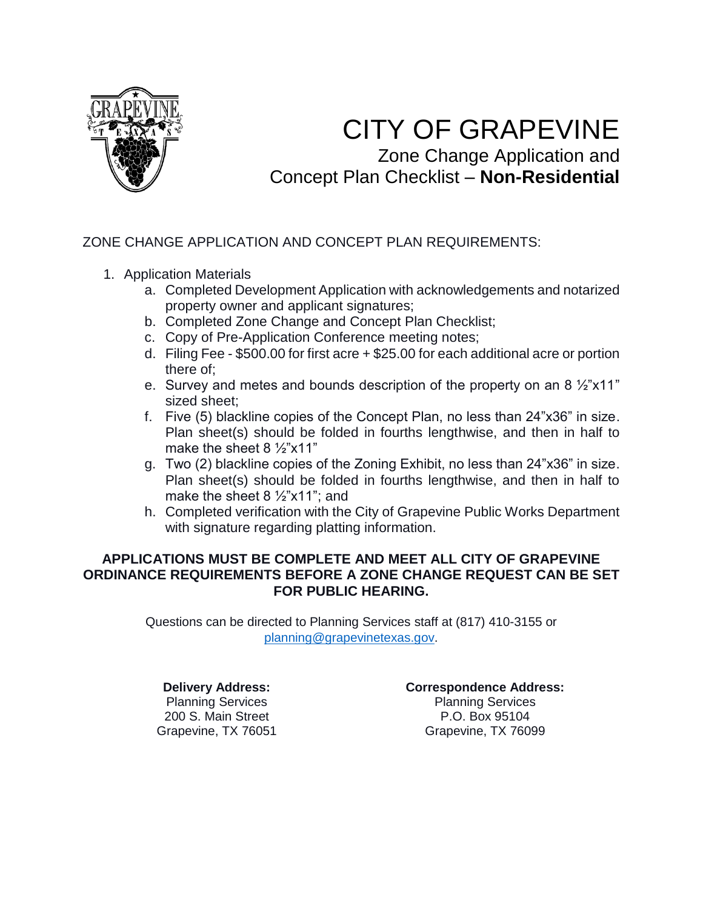

# CITY OF GRAPEVINE Zone Change Application and

Concept Plan Checklist – **Non-Residential**

# ZONE CHANGE APPLICATION AND CONCEPT PLAN REQUIREMENTS:

- 1. Application Materials
	- a. Completed Development Application with acknowledgements and notarized property owner and applicant signatures;
	- b. Completed Zone Change and Concept Plan Checklist;
	- c. Copy of Pre-Application Conference meeting notes;
	- d. Filing Fee \$500.00 for first acre + \$25.00 for each additional acre or portion there of;
	- e. Survey and metes and bounds description of the property on an 8 ½"x11" sized sheet;
	- f. Five (5) blackline copies of the Concept Plan, no less than 24"x36" in size. Plan sheet(s) should be folded in fourths lengthwise, and then in half to make the sheet 8 ½"x11"
	- g. Two (2) blackline copies of the Zoning Exhibit, no less than 24"x36" in size. Plan sheet(s) should be folded in fourths lengthwise, and then in half to make the sheet 8 ½"x11"; and
	- h. Completed verification with the City of Grapevine Public Works Department with signature regarding platting information.

### **APPLICATIONS MUST BE COMPLETE AND MEET ALL CITY OF GRAPEVINE ORDINANCE REQUIREMENTS BEFORE A ZONE CHANGE REQUEST CAN BE SET FOR PUBLIC HEARING.**

Questions can be directed to Planning Services staff at (817) 410-3155 or [planning@grapevinetexas.gov.](mailto:planning@grapevinetexas.gov)

**Delivery Address:** Planning Services 200 S. Main Street Grapevine, TX 76051 **Correspondence Address:** Planning Services P.O. Box 95104 Grapevine, TX 76099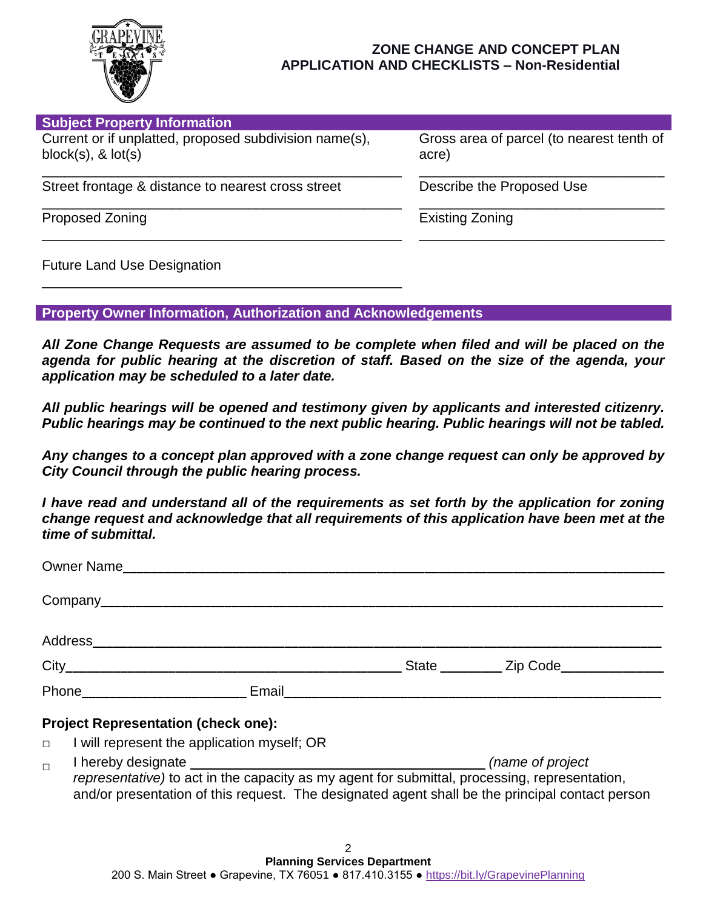

| <b>Subject Property Information</b>                                               |                                                    |
|-----------------------------------------------------------------------------------|----------------------------------------------------|
| Current or if unplatted, proposed subdivision name(s),<br>$block(s), \&$ $lot(s)$ | Gross area of parcel (to nearest tenth of<br>acre) |
| Street frontage & distance to nearest cross street                                | Describe the Proposed Use                          |
| <b>Proposed Zoning</b>                                                            | <b>Existing Zoning</b>                             |
|                                                                                   |                                                    |

Future Land Use Designation

#### **Property Owner Information, Authorization and Acknowledgements**

\_\_\_\_\_\_\_\_\_\_\_\_\_\_\_\_\_\_\_\_\_\_\_\_\_\_\_\_\_\_\_\_\_\_\_\_\_\_\_\_\_\_\_\_\_\_\_

*All Zone Change Requests are assumed to be complete when filed and will be placed on the agenda for public hearing at the discretion of staff. Based on the size of the agenda, your application may be scheduled to a later date.*

*All public hearings will be opened and testimony given by applicants and interested citizenry. Public hearings may be continued to the next public hearing. Public hearings will not be tabled.* 

*Any changes to a concept plan approved with a zone change request can only be approved by City Council through the public hearing process.*

*I have read and understand all of the requirements as set forth by the application for zoning change request and acknowledge that all requirements of this application have been met at the time of submittal.*

|                               | Owner Name                                                                                                                                                                                                                     |                           |  |
|-------------------------------|--------------------------------------------------------------------------------------------------------------------------------------------------------------------------------------------------------------------------------|---------------------------|--|
|                               |                                                                                                                                                                                                                                |                           |  |
|                               |                                                                                                                                                                                                                                |                           |  |
|                               |                                                                                                                                                                                                                                | State <u>Zip Code</u>     |  |
|                               | Phone Email Email Contract Contract of the Contract of Contract Contract Contract Contract Contract Contract Contract Contract Contract Contract Contract Contract Contract Contract Contract Contract Contract Contract Contr |                           |  |
|                               | <b>Project Representation (check one):</b><br>$\Box$ I will represent the application myself; OR                                                                                                                               |                           |  |
| المقصورة والمصاحب والمعامليات |                                                                                                                                                                                                                                | <i>languar</i> af musical |  |

**□** I hereby designate*(name of project representative)* to act in the capacity as my agent for submittal, processing, representation, and/or presentation of this request. The designated agent shall be the principal contact person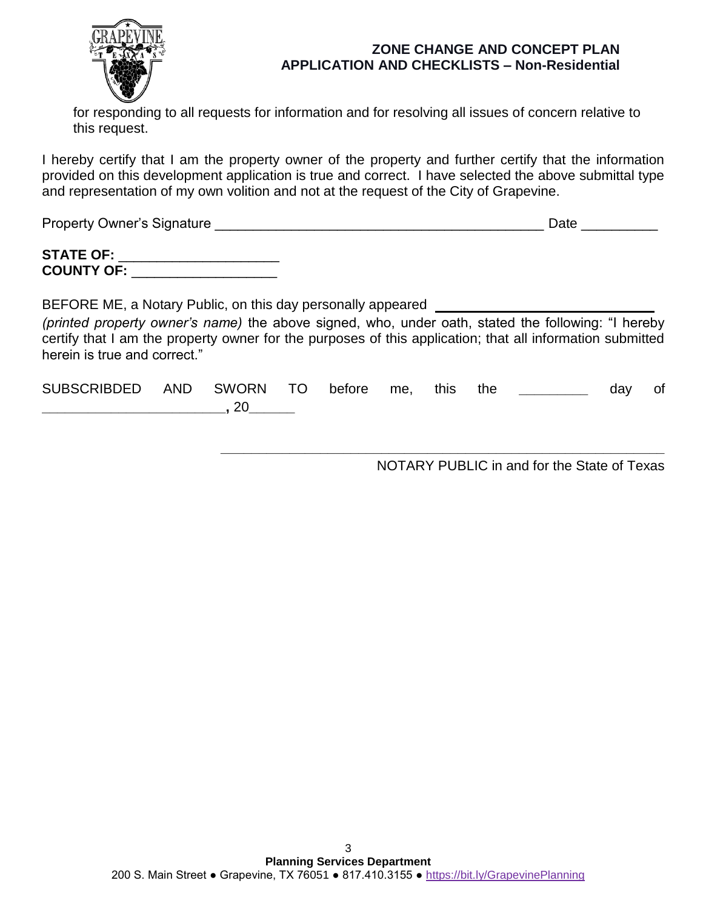

for responding to all requests for information and for resolving all issues of concern relative to this request.

I hereby certify that I am the property owner of the property and further certify that the information provided on this development application is true and correct. I have selected the above submittal type and representation of my own volition and not at the request of the City of Grapevine.

Property Owner's Signature \_\_\_\_\_\_\_\_\_\_\_\_\_\_\_\_\_\_\_\_\_\_\_\_\_\_\_\_\_\_\_\_\_\_\_\_\_\_\_\_\_\_\_ Date \_\_\_\_\_\_\_\_\_\_

| <b>STATE OF:</b>  |  |
|-------------------|--|
| <b>COUNTY OF:</b> |  |

BEFORE ME, a Notary Public, on this day personally appeared *(printed property owner's name)* the above signed, who, under oath, stated the following: "I hereby certify that I am the property owner for the purposes of this application; that all information submitted herein is true and correct."

SUBSCRIBDED AND SWORN TO before me, this the **the state of** day of **\_\_\_\_\_\_\_\_\_\_\_\_\_\_\_\_\_\_\_\_\_\_\_\_,** 20**\_\_\_\_\_\_**

NOTARY PUBLIC in and for the State of Texas

**\_\_\_\_\_\_\_\_\_\_\_\_\_\_\_\_\_\_\_\_\_\_\_\_\_\_\_\_\_\_\_\_\_\_\_\_\_\_\_\_\_\_\_\_\_\_\_\_\_\_\_\_\_\_\_\_\_\_**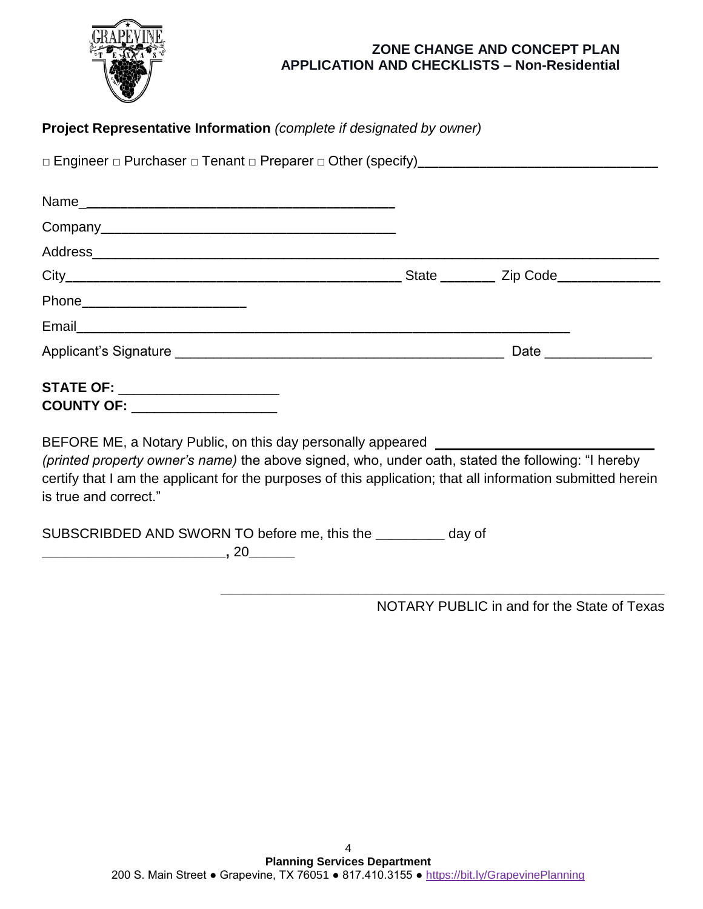

| Project Representative Information (complete if designated by owner)                                                                                                                                                                                                                                                           |  |  |
|--------------------------------------------------------------------------------------------------------------------------------------------------------------------------------------------------------------------------------------------------------------------------------------------------------------------------------|--|--|
|                                                                                                                                                                                                                                                                                                                                |  |  |
|                                                                                                                                                                                                                                                                                                                                |  |  |
|                                                                                                                                                                                                                                                                                                                                |  |  |
|                                                                                                                                                                                                                                                                                                                                |  |  |
|                                                                                                                                                                                                                                                                                                                                |  |  |
|                                                                                                                                                                                                                                                                                                                                |  |  |
|                                                                                                                                                                                                                                                                                                                                |  |  |
|                                                                                                                                                                                                                                                                                                                                |  |  |
| <b>STATE OF: _____________________</b><br>COUNTY OF: ___________________                                                                                                                                                                                                                                                       |  |  |
| BEFORE ME, a Notary Public, on this day personally appeared ____________________<br>(printed property owner's name) the above signed, who, under oath, stated the following: "I hereby<br>certify that I am the applicant for the purposes of this application; that all information submitted herein<br>is true and correct." |  |  |
| SUBSCRIBDED AND SWORN TO before me, this the _________ day of<br>$\overbrace{\hspace{2.5cm}}$ , 20 $\overbrace{\hspace{2.5cm}}$                                                                                                                                                                                                |  |  |

NOTARY PUBLIC in and for the State of Texas

**\_\_\_\_\_\_\_\_\_\_\_\_\_\_\_\_\_\_\_\_\_\_\_\_\_\_\_\_\_\_\_\_\_\_\_\_\_\_\_\_\_\_\_\_\_\_\_\_\_\_\_\_\_\_\_\_\_\_**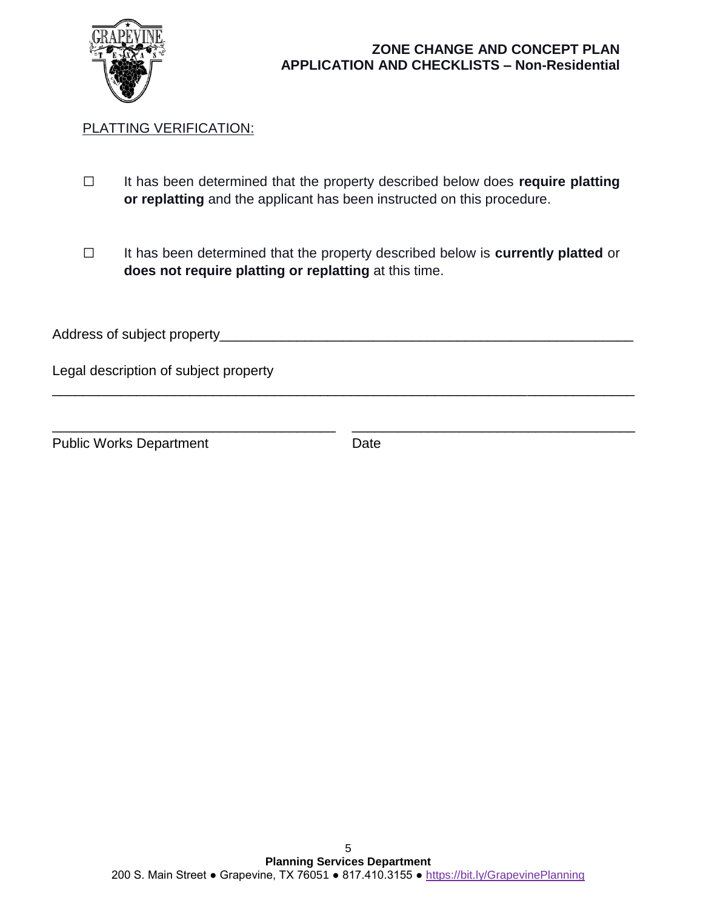

# PLATTING VERIFICATION:

- **□** It has been determined that the property described below does **require platting or replatting** and the applicant has been instructed on this procedure.
- **□** It has been determined that the property described below is **currently platted** or **does not require platting or replatting** at this time.

| Address of subject property           |  |
|---------------------------------------|--|
| Legal description of subject property |  |
|                                       |  |

\_\_\_\_\_\_\_\_\_\_\_\_\_\_\_\_\_\_\_\_\_\_\_\_\_\_\_\_\_\_\_\_\_\_\_\_\_ \_\_\_\_\_\_\_\_\_\_\_\_\_\_\_\_\_\_\_\_\_\_\_\_\_\_\_\_\_\_\_\_\_\_\_\_\_

Public Works Department Date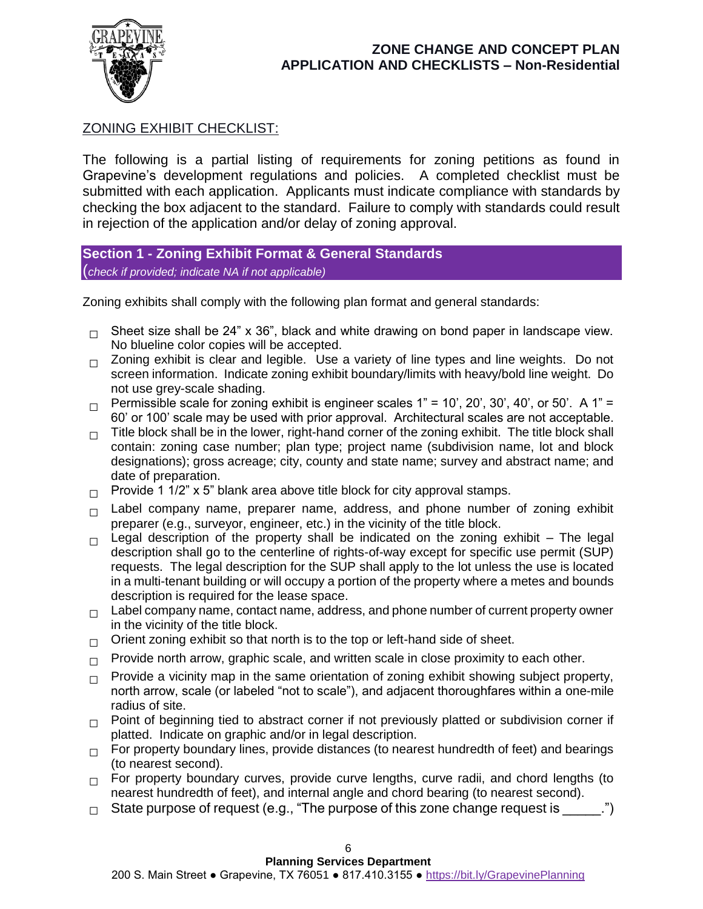

# ZONING EXHIBIT CHECKLIST:

The following is a partial listing of requirements for zoning petitions as found in Grapevine's development regulations and policies. A completed checklist must be submitted with each application. Applicants must indicate compliance with standards by checking the box adjacent to the standard. Failure to comply with standards could result in rejection of the application and/or delay of zoning approval.

### **Section 1 - Zoning Exhibit Format & General Standards** (*check if provided; indicate NA if not applicable)*

Zoning exhibits shall comply with the following plan format and general standards:

- **□** Sheet size shall be 24" x 36", black and white drawing on bond paper in landscape view. No blueline color copies will be accepted.
- **□** Zoning exhibit is clear and legible. Use a variety of line types and line weights. Do not screen information. Indicate zoning exhibit boundary/limits with heavy/bold line weight. Do not use grey-scale shading.
- □ Permissible scale for zoning exhibit is engineer scales 1" = 10', 20', 30', 40', or 50'. A 1" = 60' or 100' scale may be used with prior approval. Architectural scales are not acceptable.
- □ Title block shall be in the lower, right-hand corner of the zoning exhibit. The title block shall contain: zoning case number; plan type; project name (subdivision name, lot and block designations); gross acreage; city, county and state name; survey and abstract name; and date of preparation.
- **□** Provide 1 1/2" x 5" blank area above title block for city approval stamps.
- **□** Label company name, preparer name, address, and phone number of zoning exhibit preparer (e.g., surveyor, engineer, etc.) in the vicinity of the title block.
- □ Legal description of the property shall be indicated on the zoning exhibit The legal description shall go to the centerline of rights-of-way except for specific use permit (SUP) requests. The legal description for the SUP shall apply to the lot unless the use is located in a multi-tenant building or will occupy a portion of the property where a metes and bounds description is required for the lease space.
- □ Label company name, contact name, address, and phone number of current property owner in the vicinity of the title block.
- **□** Orient zoning exhibit so that north is to the top or left-hand side of sheet.
- □ Provide north arrow, graphic scale, and written scale in close proximity to each other.
- □ Provide a vicinity map in the same orientation of zoning exhibit showing subject property, north arrow, scale (or labeled "not to scale"), and adjacent thoroughfares within a one-mile radius of site.
- □ Point of beginning tied to abstract corner if not previously platted or subdivision corner if platted. Indicate on graphic and/or in legal description.
- □ For property boundary lines, provide distances (to nearest hundredth of feet) and bearings (to nearest second).
- □ For property boundary curves, provide curve lengths, curve radii, and chord lengths (to nearest hundredth of feet), and internal angle and chord bearing (to nearest second).
- **□** State purpose of request (e.g., "The purpose of this zone change request is \_\_\_\_\_.")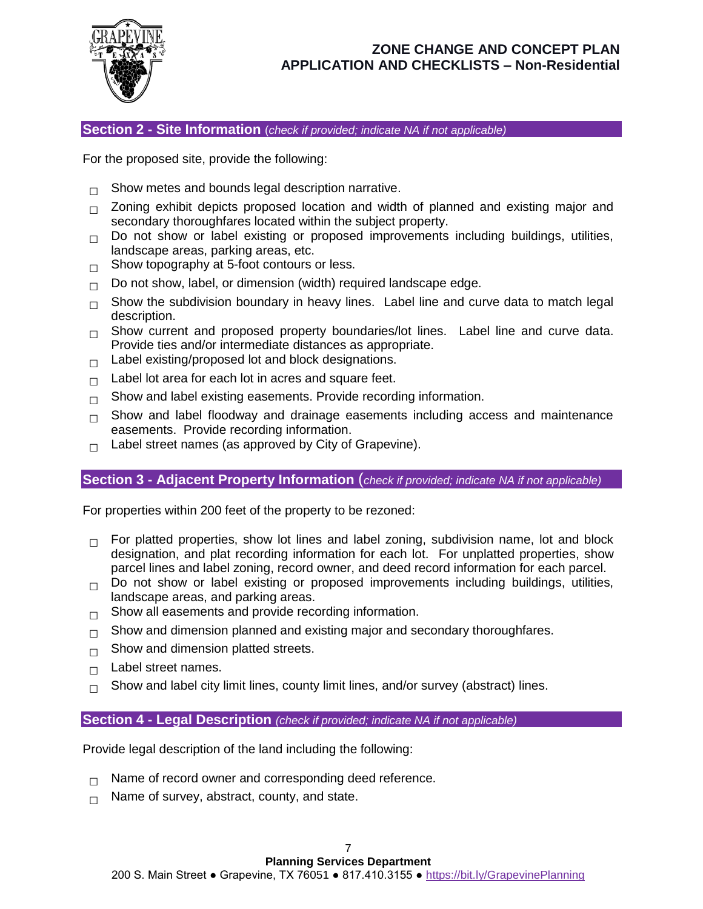

**Section 2 - Site Information** (*check if provided; indicate NA if not applicable)*

For the proposed site, provide the following:

- □ Show metes and bounds legal description narrative.
- □ Zoning exhibit depicts proposed location and width of planned and existing major and secondary thoroughfares located within the subject property.
- **□** Do not show or label existing or proposed improvements including buildings, utilities, landscape areas, parking areas, etc.
- □ Show topography at 5-foot contours or less.
- □ Do not show, label, or dimension (width) required landscape edge.
- □ Show the subdivision boundary in heavy lines. Label line and curve data to match legal description.
- □ Show current and proposed property boundaries/lot lines. Label line and curve data. Provide ties and/or intermediate distances as appropriate.
- **□** Label existing/proposed lot and block designations.
- **□** Label lot area for each lot in acres and square feet.
- □ Show and label existing easements. Provide recording information.
- □ Show and label floodway and drainage easements including access and maintenance easements. Provide recording information.
- □ Label street names (as approved by City of Grapevine).

#### **Section 3 - Adjacent Property Information** (*check if provided; indicate NA if not applicable)*

For properties within 200 feet of the property to be rezoned:

- □ For platted properties, show lot lines and label zoning, subdivision name, lot and block designation, and plat recording information for each lot. For unplatted properties, show parcel lines and label zoning, record owner, and deed record information for each parcel.
- **□** Do not show or label existing or proposed improvements including buildings, utilities, landscape areas, and parking areas.
- **□** Show all easements and provide recording information.
- □ Show and dimension planned and existing major and secondary thoroughfares.
- □ Show and dimension platted streets.
- **□** Label street names.
- **□** Show and label city limit lines, county limit lines, and/or survey (abstract) lines.

#### **Section 4 - Legal Description** *(check if provided; indicate NA if not applicable)*

Provide legal description of the land including the following:

- □ Name of record owner and corresponding deed reference.
- □ Name of survey, abstract, county, and state.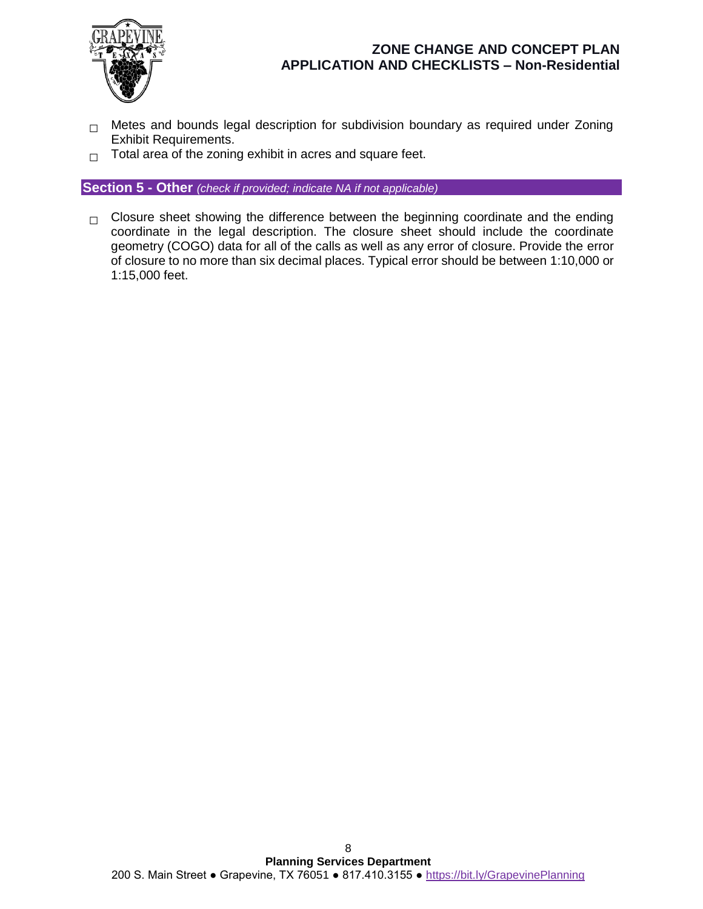

- □ Metes and bounds legal description for subdivision boundary as required under Zoning Exhibit Requirements.
- **□** Total area of the zoning exhibit in acres and square feet.

**Section 5 - Other** *(check if provided; indicate NA if not applicable)*

□ Closure sheet showing the difference between the beginning coordinate and the ending coordinate in the legal description. The closure sheet should include the coordinate geometry (COGO) data for all of the calls as well as any error of closure. Provide the error of closure to no more than six decimal places. Typical error should be between 1:10,000 or 1:15,000 feet.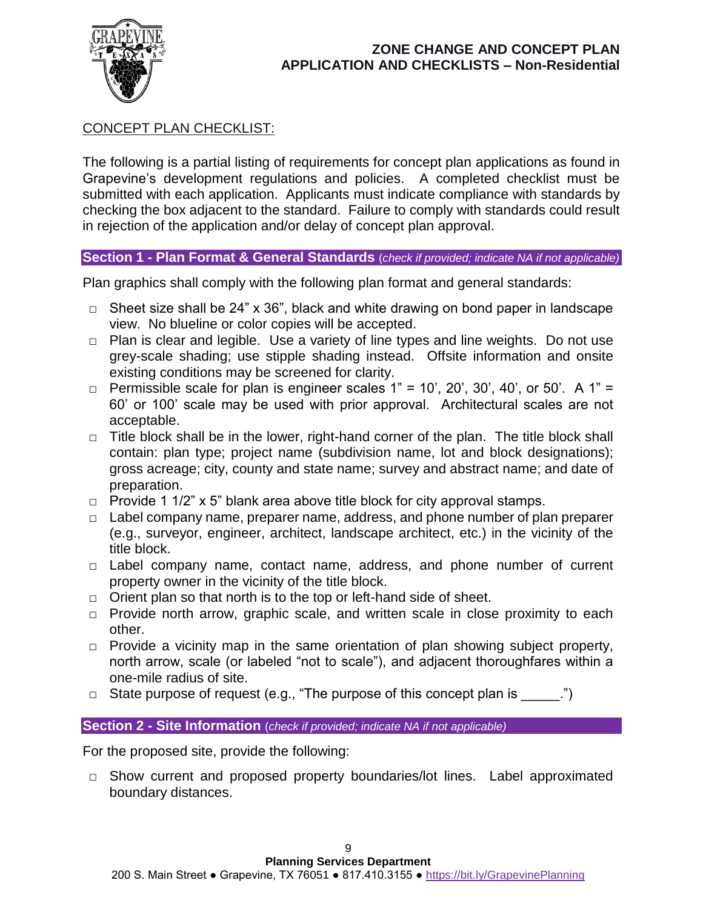

# CONCEPT PLAN CHECKLIST:

The following is a partial listing of requirements for concept plan applications as found in Grapevine's development regulations and policies. A completed checklist must be submitted with each application. Applicants must indicate compliance with standards by checking the box adjacent to the standard. Failure to comply with standards could result in rejection of the application and/or delay of concept plan approval.

# **Section 1 - Plan Format & General Standards** (*check if provided; indicate NA if not applicable)*

Plan graphics shall comply with the following plan format and general standards:

- **□** Sheet size shall be 24" x 36", black and white drawing on bond paper in landscape view. No blueline or color copies will be accepted.
- **□** Plan is clear and legible. Use a variety of line types and line weights. Do not use grey-scale shading; use stipple shading instead. Offsite information and onsite existing conditions may be screened for clarity.
- **□** Permissible scale for plan is engineer scales 1" = 10', 20', 30', 40', or 50'. A 1" = 60' or 100' scale may be used with prior approval. Architectural scales are not acceptable.
- **□** Title block shall be in the lower, right-hand corner of the plan. The title block shall contain: plan type; project name (subdivision name, lot and block designations); gross acreage; city, county and state name; survey and abstract name; and date of preparation.
- **□** Provide 1 1/2" x 5" blank area above title block for city approval stamps.
- **□** Label company name, preparer name, address, and phone number of plan preparer (e.g., surveyor, engineer, architect, landscape architect, etc.) in the vicinity of the title block.
- **□** Label company name, contact name, address, and phone number of current property owner in the vicinity of the title block.
- **□** Orient plan so that north is to the top or left-hand side of sheet.
- **□** Provide north arrow, graphic scale, and written scale in close proximity to each other.
- **□** Provide a vicinity map in the same orientation of plan showing subject property, north arrow, scale (or labeled "not to scale"), and adjacent thoroughfares within a one-mile radius of site.
- **□** State purpose of request (e.g., "The purpose of this concept plan is \_\_\_\_\_.")

#### **Section 2 - Site Information** (*check if provided; indicate NA if not applicable)*

For the proposed site, provide the following:

**□** Show current and proposed property boundaries/lot lines. Label approximated boundary distances.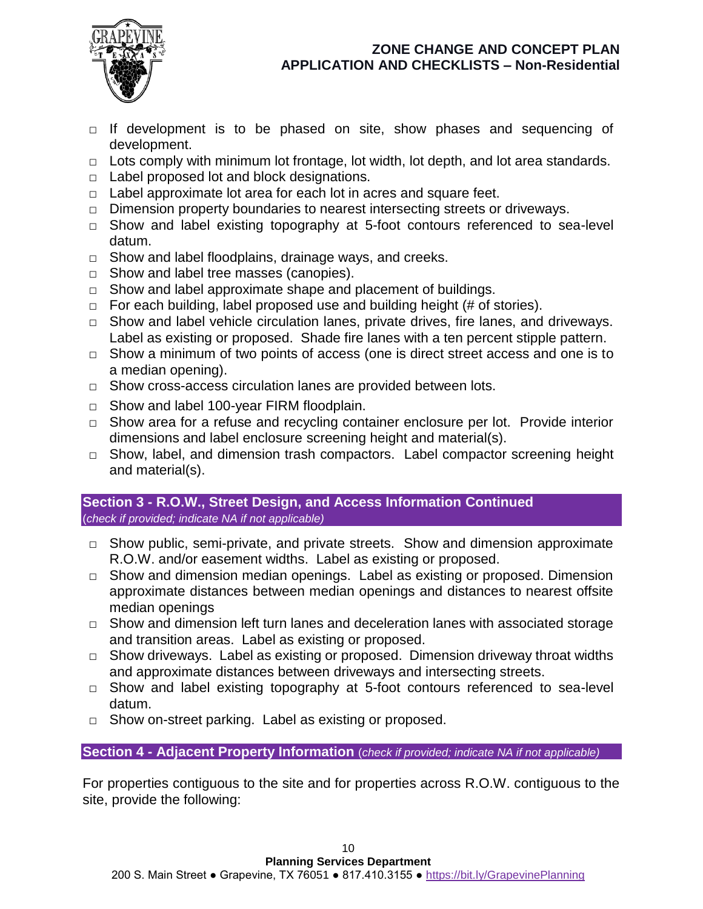

- **□** If development is to be phased on site, show phases and sequencing of development.
- **□** Lots comply with minimum lot frontage, lot width, lot depth, and lot area standards.
- **□** Label proposed lot and block designations.
- **□** Label approximate lot area for each lot in acres and square feet.
- **□** Dimension property boundaries to nearest intersecting streets or driveways.
- **□** Show and label existing topography at 5-foot contours referenced to sea-level datum.
- **□** Show and label floodplains, drainage ways, and creeks.
- **□** Show and label tree masses (canopies).
- **□** Show and label approximate shape and placement of buildings.
- **□** For each building, label proposed use and building height (# of stories).
- **□** Show and label vehicle circulation lanes, private drives, fire lanes, and driveways. Label as existing or proposed. Shade fire lanes with a ten percent stipple pattern.
- **□** Show a minimum of two points of access (one is direct street access and one is to a median opening).
- **□** Show cross-access circulation lanes are provided between lots.
- **□** Show and label 100-year FIRM floodplain.
- **□** Show area for a refuse and recycling container enclosure per lot. Provide interior dimensions and label enclosure screening height and material(s).
- **□** Show, label, and dimension trash compactors. Label compactor screening height and material(s).

### **Section 3 - R.O.W., Street Design, and Access Information Continued** (*check if provided; indicate NA if not applicable)*

- **□** Show public, semi-private, and private streets. Show and dimension approximate R.O.W. and/or easement widths. Label as existing or proposed.
- **□** Show and dimension median openings. Label as existing or proposed. Dimension approximate distances between median openings and distances to nearest offsite median openings
- **□** Show and dimension left turn lanes and deceleration lanes with associated storage and transition areas. Label as existing or proposed.
- **□** Show driveways. Label as existing or proposed. Dimension driveway throat widths and approximate distances between driveways and intersecting streets.
- **□** Show and label existing topography at 5-foot contours referenced to sea-level datum.
- **□** Show on-street parking. Label as existing or proposed.

**Section 4 - Adjacent Property Information** (*check if provided; indicate NA if not applicable)*

For properties contiguous to the site and for properties across R.O.W. contiguous to the site, provide the following: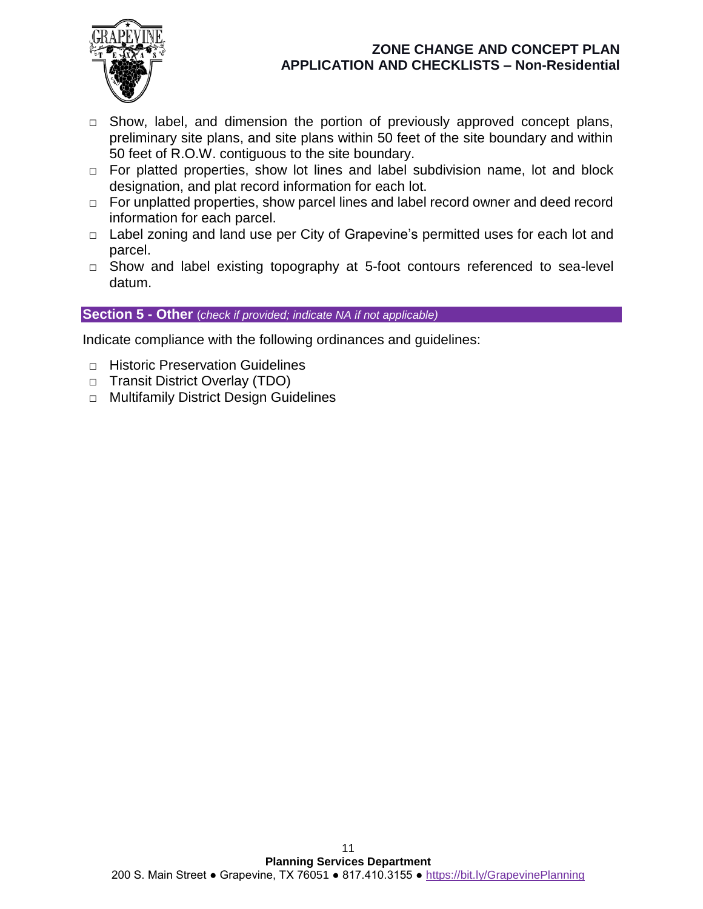

- **□** Show, label, and dimension the portion of previously approved concept plans, preliminary site plans, and site plans within 50 feet of the site boundary and within 50 feet of R.O.W. contiguous to the site boundary.
- **□** For platted properties, show lot lines and label subdivision name, lot and block designation, and plat record information for each lot.
- **□** For unplatted properties, show parcel lines and label record owner and deed record information for each parcel.
- **□** Label zoning and land use per City of Grapevine's permitted uses for each lot and parcel.
- **□** Show and label existing topography at 5-foot contours referenced to sea-level datum.

### **Section 5 - Other** (*check if provided; indicate NA if not applicable)*

Indicate compliance with the following ordinances and guidelines:

- **□** Historic Preservation Guidelines
- **□** Transit District Overlay (TDO)
- **□** Multifamily District Design Guidelines